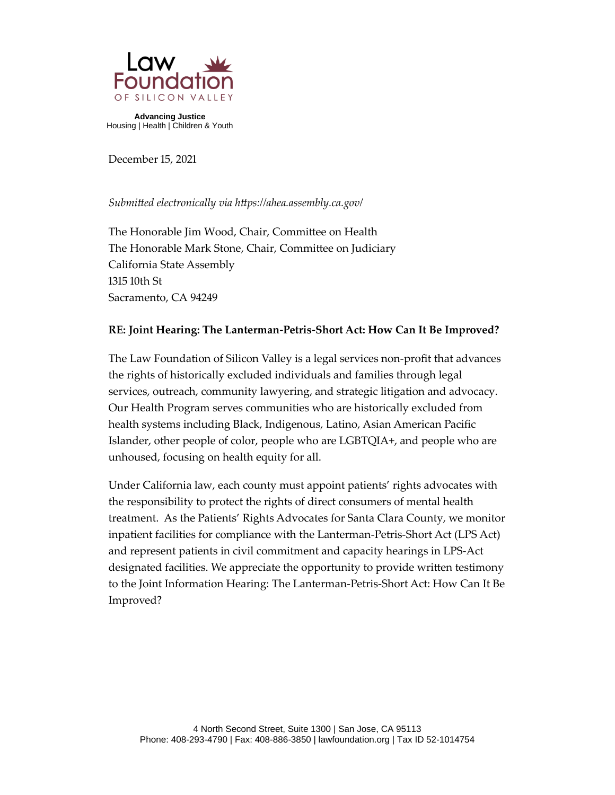

**Advancing Justice**  Housing | Health | Children & Youth

December 15, 2021

### *Submitted electronically via https://ahea.assembly.ca.gov/*

The Honorable Jim Wood, Chair, Committee on Health The Honorable Mark Stone, Chair, Committee on Judiciary California State Assembly 1315 10th St Sacramento, CA 94249

### **RE: Joint Hearing: The Lanterman-Petris-Short Act: How Can It Be Improved?**

The Law Foundation of Silicon Valley is a legal services non-profit that advances the rights of historically excluded individuals and families through legal services, outreach, community lawyering, and strategic litigation and advocacy. Our Health Program serves communities who are historically excluded from health systems including Black, Indigenous, Latino, Asian American Pacific Islander, other people of color, people who are LGBTQIA+, and people who are unhoused, focusing on health equity for all.

Under California law, each county must appoint patients' rights advocates with the responsibility to protect the rights of direct consumers of mental health treatment. As the Patients' Rights Advocates for Santa Clara County, we monitor inpatient facilities for compliance with the Lanterman-Petris-Short Act (LPS Act) and represent patients in civil commitment and capacity hearings in LPS-Act designated facilities. We appreciate the opportunity to provide written testimony to the Joint Information Hearing: The Lanterman-Petris-Short Act: How Can It Be Improved?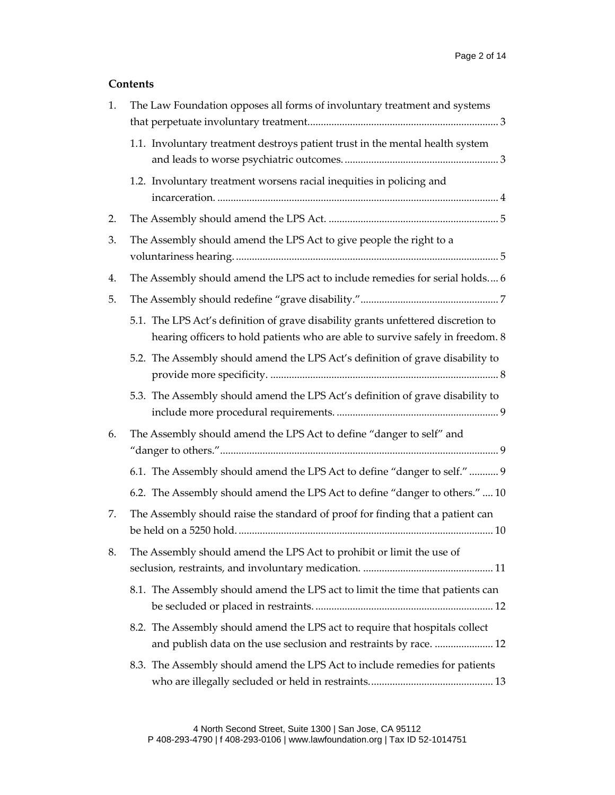## **Contents**

| 1. | The Law Foundation opposes all forms of involuntary treatment and systems                                                                                           |  |
|----|---------------------------------------------------------------------------------------------------------------------------------------------------------------------|--|
|    | 1.1. Involuntary treatment destroys patient trust in the mental health system                                                                                       |  |
|    | 1.2. Involuntary treatment worsens racial inequities in policing and                                                                                                |  |
| 2. |                                                                                                                                                                     |  |
| 3. | The Assembly should amend the LPS Act to give people the right to a                                                                                                 |  |
| 4. | The Assembly should amend the LPS act to include remedies for serial holds 6                                                                                        |  |
| 5. |                                                                                                                                                                     |  |
|    | 5.1. The LPS Act's definition of grave disability grants unfettered discretion to<br>hearing officers to hold patients who are able to survive safely in freedom. 8 |  |
|    | 5.2. The Assembly should amend the LPS Act's definition of grave disability to                                                                                      |  |
|    | 5.3. The Assembly should amend the LPS Act's definition of grave disability to                                                                                      |  |
| 6. | The Assembly should amend the LPS Act to define "danger to self" and                                                                                                |  |
|    | 6.1. The Assembly should amend the LPS Act to define "danger to self."  9                                                                                           |  |
|    | 6.2. The Assembly should amend the LPS Act to define "danger to others."  10                                                                                        |  |
| 7. | The Assembly should raise the standard of proof for finding that a patient can                                                                                      |  |
| 8. | The Assembly should amend the LPS Act to prohibit or limit the use of                                                                                               |  |
|    | 8.1. The Assembly should amend the LPS act to limit the time that patients can                                                                                      |  |
|    | 8.2. The Assembly should amend the LPS act to require that hospitals collect<br>and publish data on the use seclusion and restraints by race.  12                   |  |
|    | 8.3. The Assembly should amend the LPS Act to include remedies for patients                                                                                         |  |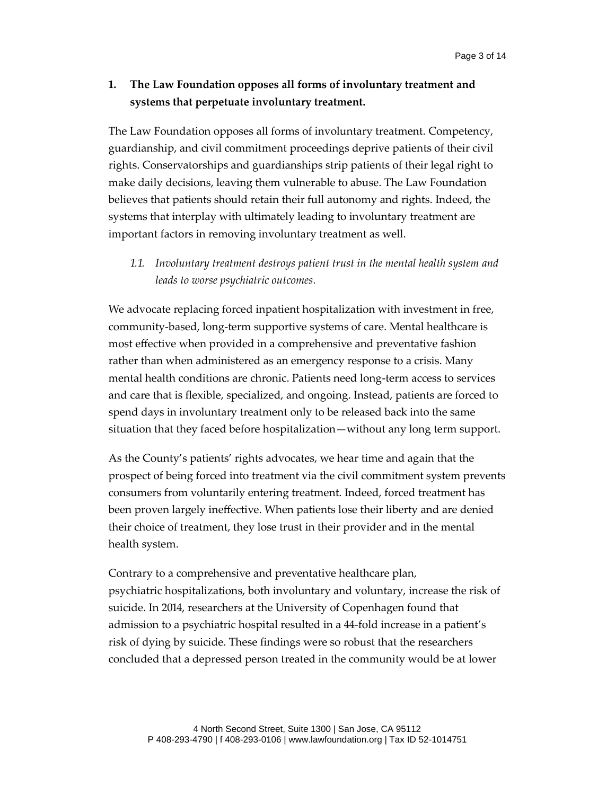## <span id="page-2-0"></span>**1. The Law Foundation opposes all forms of involuntary treatment and systems that perpetuate involuntary treatment.**

The Law Foundation opposes all forms of involuntary treatment. Competency, guardianship, and civil commitment proceedings deprive patients of their civil rights. Conservatorships and guardianships strip patients of their legal right to make daily decisions, leaving them vulnerable to abuse. The Law Foundation believes that patients should retain their full autonomy and rights. Indeed, the systems that interplay with ultimately leading to involuntary treatment are important factors in removing involuntary treatment as well.

<span id="page-2-1"></span>*1.1. Involuntary treatment destroys patient trust in the mental health system and leads to worse psychiatric outcomes.*

We advocate replacing forced inpatient hospitalization with investment in free, community-based, long-term supportive systems of care. Mental healthcare is most effective when provided in a comprehensive and preventative fashion rather than when administered as an emergency response to a crisis. Many mental health conditions are chronic. Patients need long-term access to services and care that is flexible, specialized, and ongoing. Instead, patients are forced to spend days in involuntary treatment only to be released back into the same situation that they faced before hospitalization—without any long term support.

As the County's patients' rights advocates, we hear time and again that the prospect of being forced into treatment via the civil commitment system prevents consumers from voluntarily entering treatment. Indeed, forced treatment has been proven largely ineffective. When patients lose their liberty and are denied their choice of treatment, they lose trust in their provider and in the mental health system.

Contrary to a comprehensive and preventative healthcare plan, psychiatric hospitalizations, both involuntary and voluntary, increase the risk of suicide. In 2014, researchers at the University of Copenhagen found that admission to a psychiatric hospital resulted in a 44-fold increase in a patient's risk of dying by suicide. These findings were so robust that the researchers concluded that a depressed person treated in the community would be at lower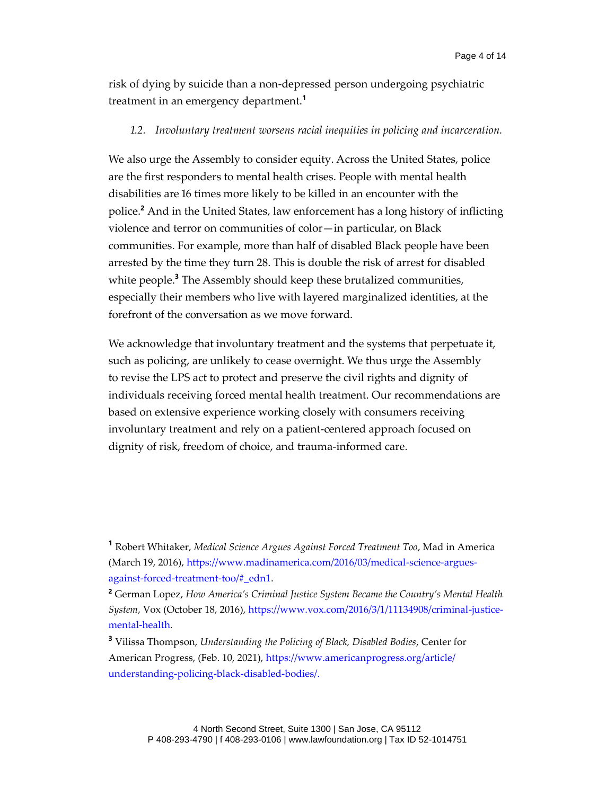risk of dying by suicide than a non-depressed person undergoing psychiatric treatment in an emergency department.**<sup>1</sup>**

#### <span id="page-3-0"></span>*1.2. Involuntary treatment worsens racial inequities in policing and incarceration.*

We also urge the Assembly to consider equity. Across the United States, police are the first responders to mental health crises. People with mental health disabilities are 16 times more likely to be killed in an encounter with the police.**<sup>2</sup>** And in the United States, law enforcement has a long history of inflicting violence and terror on communities of color—in particular, on Black communities. For example, more than half of disabled Black people have been arrested by the time they turn 28. This is double the risk of arrest for disabled white people.**<sup>3</sup>** The Assembly should keep these brutalized communities, especially their members who live with layered marginalized identities, at the forefront of the conversation as we move forward.

We acknowledge that involuntary treatment and the systems that perpetuate it, such as policing, are unlikely to cease overnight. We thus urge the Assembly to revise the LPS act to protect and preserve the civil rights and dignity of individuals receiving forced mental health treatment. Our recommendations are based on extensive experience working closely with consumers receiving involuntary treatment and rely on a patient-centered approach focused on dignity of risk, freedom of choice, and trauma-informed care.

**<sup>1</sup>** Robert Whitaker, *Medical Science Argues Against Forced Treatment Too*, Mad in America (March 19, 2016), https://www.madinamerica.com/2016/03/medical-science-arguesagainst-forced-treatment-too/#\_edn1.

**<sup>2</sup>** German Lopez, *How America's Criminal Justice System Became the Country's Mental Health System*, Vox (October 18, 2016), https://www.vox.com/2016/3/1/11134908/criminal-justicemental-health.

**<sup>3</sup>** Vilissa Thompson, *Understanding the Policing of Black, Disabled Bodies*, Center for American Progress, (Feb. 10, 2021), [https://www.americanprogress.org/article/](https://www.americanprogress.org/article/understanding-policing-black-disabled-bodies/) [understanding-policing-black-disabled-bodies/.](https://www.americanprogress.org/article/understanding-policing-black-disabled-bodies/)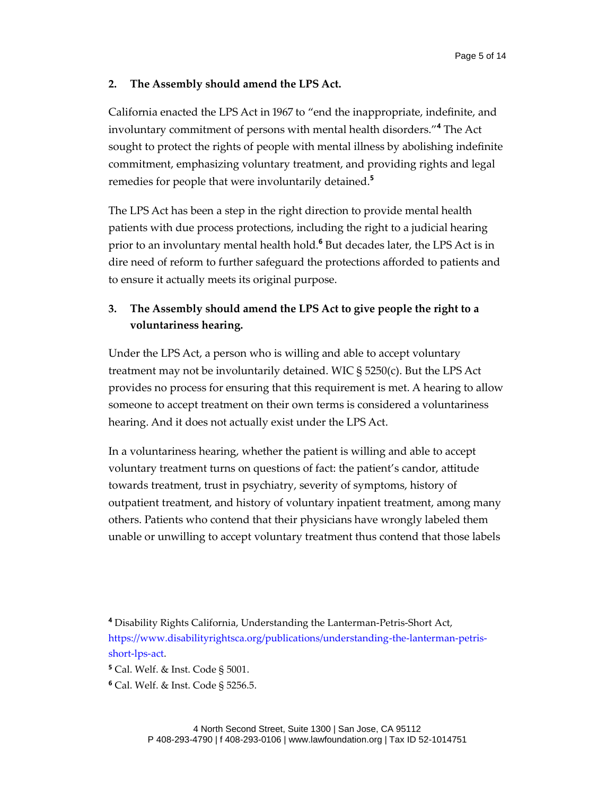### <span id="page-4-0"></span>**2. The Assembly should amend the LPS Act.**

California enacted the LPS Act in 1967 to "end the inappropriate, indefinite, and involuntary commitment of persons with mental health disorders."**<sup>4</sup>** The Act sought to protect the rights of people with mental illness by abolishing indefinite commitment, emphasizing voluntary treatment, and providing rights and legal remedies for people that were involuntarily detained.**<sup>5</sup>**

The LPS Act has been a step in the right direction to provide mental health patients with due process protections, including the right to a judicial hearing prior to an involuntary mental health hold.**<sup>6</sup>** But decades later, the LPS Act is in dire need of reform to further safeguard the protections afforded to patients and to ensure it actually meets its original purpose.

# <span id="page-4-1"></span>**3. The Assembly should amend the LPS Act to give people the right to a voluntariness hearing.**

Under the LPS Act, a person who is willing and able to accept voluntary treatment may not be involuntarily detained. WIC § 5250(c). But the LPS Act provides no process for ensuring that this requirement is met. A hearing to allow someone to accept treatment on their own terms is considered a voluntariness hearing. And it does not actually exist under the LPS Act.

In a voluntariness hearing, whether the patient is willing and able to accept voluntary treatment turns on questions of fact: the patient's candor, attitude towards treatment, trust in psychiatry, severity of symptoms, history of outpatient treatment, and history of voluntary inpatient treatment, among many others. Patients who contend that their physicians have wrongly labeled them unable or unwilling to accept voluntary treatment thus contend that those labels

**<sup>4</sup>** Disability Rights California, Understanding the Lanterman-Petris-Short Act, [https://www.disabilityrightsca.org/publications/understanding-the-lanterman-petris](https://www.disabilityrightsca.org/publications/understanding-the-lanterman-petris-short-lps-act)[short-lps-act.](https://www.disabilityrightsca.org/publications/understanding-the-lanterman-petris-short-lps-act)

**<sup>5</sup>** Cal. Welf. & Inst. Code § 5001.

**<sup>6</sup>** Cal. Welf. & Inst. Code § 5256.5.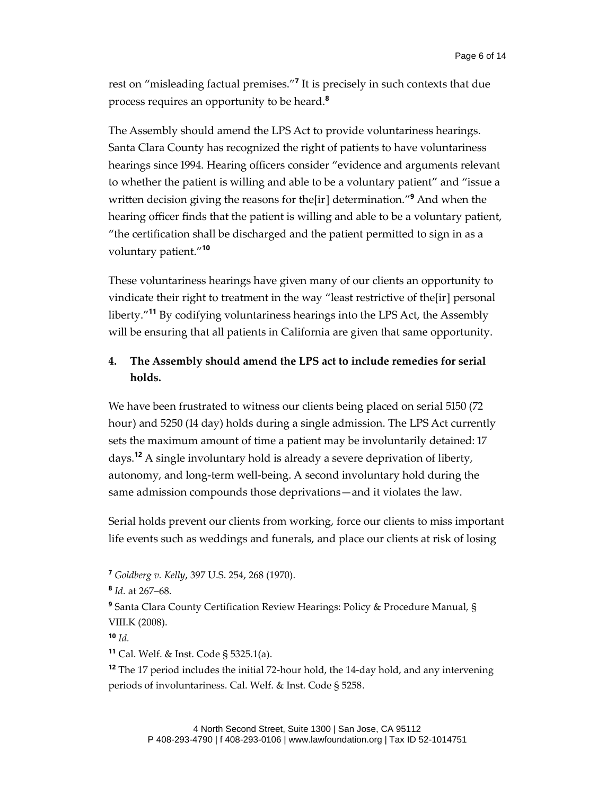rest on "misleading factual premises." **7** It is precisely in such contexts that due process requires an opportunity to be heard.**<sup>8</sup>**

The Assembly should amend the LPS Act to provide voluntariness hearings. Santa Clara County has recognized the right of patients to have voluntariness hearings since 1994. Hearing officers consider "evidence and arguments relevant to whether the patient is willing and able to be a voluntary patient" and "issue a written decision giving the reasons for the[ir] determination." **<sup>9</sup>** And when the hearing officer finds that the patient is willing and able to be a voluntary patient, "the certification shall be discharged and the patient permitted to sign in as a voluntary patient." **10**

These voluntariness hearings have given many of our clients an opportunity to vindicate their right to treatment in the way "least restrictive of the[ir] personal liberty." **<sup>11</sup>** By codifying voluntariness hearings into the LPS Act, the Assembly will be ensuring that all patients in California are given that same opportunity.

## <span id="page-5-0"></span>**4. The Assembly should amend the LPS act to include remedies for serial holds.**

We have been frustrated to witness our clients being placed on serial 5150 (72 hour) and 5250 (14 day) holds during a single admission. The LPS Act currently sets the maximum amount of time a patient may be involuntarily detained: 17 days.**<sup>12</sup>** A single involuntary hold is already a severe deprivation of liberty, autonomy, and long-term well-being. A second involuntary hold during the same admission compounds those deprivations—and it violates the law.

Serial holds prevent our clients from working, force our clients to miss important life events such as weddings and funerals, and place our clients at risk of losing

**<sup>12</sup>** The 17 period includes the initial 72-hour hold, the 14-day hold, and any intervening periods of involuntariness. Cal. Welf. & Inst. Code § 5258.

**<sup>7</sup>** *Goldberg v. Kelly*, 397 U.S. 254, 268 (1970).

**<sup>8</sup>** *Id.* at 267–68.

**<sup>9</sup>** Santa Clara County Certification Review Hearings: Policy & Procedure Manual, § VIII.K (2008).

**<sup>10</sup>** *Id.*

**<sup>11</sup>** Cal. Welf. & Inst. Code § 5325.1(a).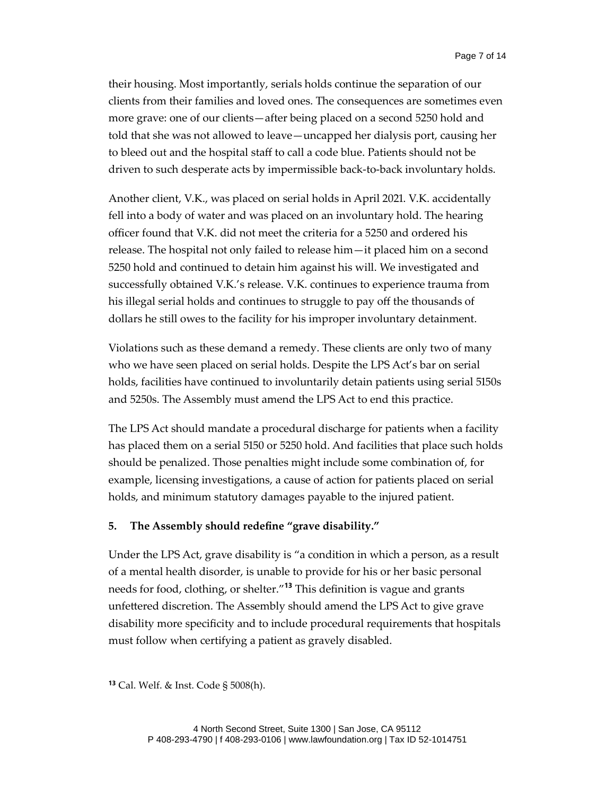their housing. Most importantly, serials holds continue the separation of our clients from their families and loved ones. The consequences are sometimes even more grave: one of our clients—after being placed on a second 5250 hold and told that she was not allowed to leave—uncapped her dialysis port, causing her to bleed out and the hospital staff to call a code blue. Patients should not be driven to such desperate acts by impermissible back-to-back involuntary holds.

Another client, V.K., was placed on serial holds in April 2021. V.K. accidentally fell into a body of water and was placed on an involuntary hold. The hearing officer found that V.K. did not meet the criteria for a 5250 and ordered his release. The hospital not only failed to release him—it placed him on a second 5250 hold and continued to detain him against his will. We investigated and successfully obtained V.K.'s release. V.K. continues to experience trauma from his illegal serial holds and continues to struggle to pay off the thousands of dollars he still owes to the facility for his improper involuntary detainment.

Violations such as these demand a remedy. These clients are only two of many who we have seen placed on serial holds. Despite the LPS Act's bar on serial holds, facilities have continued to involuntarily detain patients using serial 5150s and 5250s. The Assembly must amend the LPS Act to end this practice.

The LPS Act should mandate a procedural discharge for patients when a facility has placed them on a serial 5150 or 5250 hold. And facilities that place such holds should be penalized. Those penalties might include some combination of, for example, licensing investigations, a cause of action for patients placed on serial holds, and minimum statutory damages payable to the injured patient.

## <span id="page-6-0"></span>**5. The Assembly should redefine "grave disability."**

Under the LPS Act, grave disability is "a condition in which a person, as a result of a mental health disorder, is unable to provide for his or her basic personal needs for food, clothing, or shelter."**<sup>13</sup>** This definition is vague and grants unfettered discretion. The Assembly should amend the LPS Act to give grave disability more specificity and to include procedural requirements that hospitals must follow when certifying a patient as gravely disabled.

**<sup>13</sup>** Cal. Welf. & Inst. Code § 5008(h).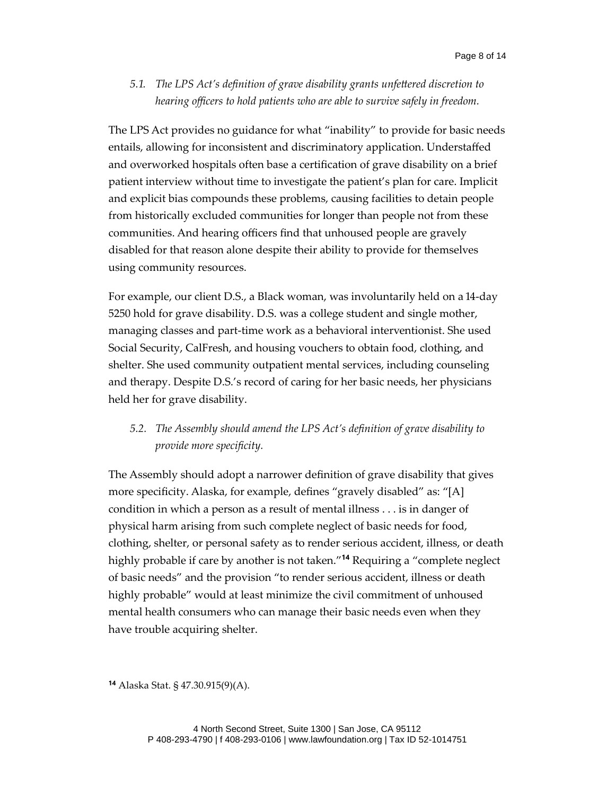<span id="page-7-0"></span>*5.1. The LPS Act's definition of grave disability grants unfettered discretion to hearing officers to hold patients who are able to survive safely in freedom.* 

The LPS Act provides no guidance for what "inability" to provide for basic needs entails, allowing for inconsistent and discriminatory application. Understaffed and overworked hospitals often base a certification of grave disability on a brief patient interview without time to investigate the patient's plan for care. Implicit and explicit bias compounds these problems, causing facilities to detain people from historically excluded communities for longer than people not from these communities. And hearing officers find that unhoused people are gravely disabled for that reason alone despite their ability to provide for themselves using community resources.

For example, our client D.S., a Black woman, was involuntarily held on a 14-day 5250 hold for grave disability. D.S. was a college student and single mother, managing classes and part-time work as a behavioral interventionist. She used Social Security, CalFresh, and housing vouchers to obtain food, clothing, and shelter. She used community outpatient mental services, including counseling and therapy. Despite D.S.'s record of caring for her basic needs, her physicians held her for grave disability.

## <span id="page-7-1"></span>*5.2. The Assembly should amend the LPS Act's definition of grave disability to provide more specificity.*

The Assembly should adopt a narrower definition of grave disability that gives more specificity. Alaska, for example, defines "gravely disabled" as: "[A] condition in which a person as a result of mental illness . . . is in danger of physical harm arising from such complete neglect of basic needs for food, clothing, shelter, or personal safety as to render serious accident, illness, or death highly probable if care by another is not taken." **<sup>14</sup>** Requiring a "complete neglect of basic needs" and the provision "to render serious accident, illness or death highly probable" would at least minimize the civil commitment of unhoused mental health consumers who can manage their basic needs even when they have trouble acquiring shelter.

**<sup>14</sup>** Alaska Stat. § 47.30.915(9)(A).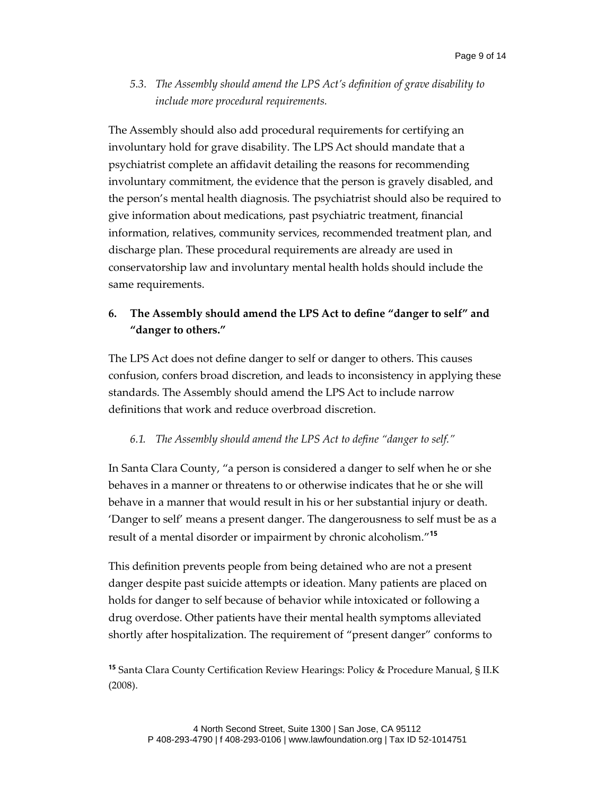<span id="page-8-0"></span>*5.3. The Assembly should amend the LPS Act's definition of grave disability to include more procedural requirements.*

The Assembly should also add procedural requirements for certifying an involuntary hold for grave disability. The LPS Act should mandate that a psychiatrist complete an affidavit detailing the reasons for recommending involuntary commitment, the evidence that the person is gravely disabled, and the person's mental health diagnosis. The psychiatrist should also be required to give information about medications, past psychiatric treatment, financial information, relatives, community services, recommended treatment plan, and discharge plan. These procedural requirements are already are used in conservatorship law and involuntary mental health holds should include the same requirements.

## <span id="page-8-1"></span>**6. The Assembly should amend the LPS Act to define "danger to self" and "danger to others."**

The LPS Act does not define danger to self or danger to others. This causes confusion, confers broad discretion, and leads to inconsistency in applying these standards. The Assembly should amend the LPS Act to include narrow definitions that work and reduce overbroad discretion.

### <span id="page-8-2"></span>*6.1. The Assembly should amend the LPS Act to define "danger to self."*

In Santa Clara County, "a person is considered a danger to self when he or she behaves in a manner or threatens to or otherwise indicates that he or she will behave in a manner that would result in his or her substantial injury or death. 'Danger to self' means a present danger. The dangerousness to self must be as a result of a mental disorder or impairment by chronic alcoholism." **15**

This definition prevents people from being detained who are not a present danger despite past suicide attempts or ideation. Many patients are placed on holds for danger to self because of behavior while intoxicated or following a drug overdose. Other patients have their mental health symptoms alleviated shortly after hospitalization. The requirement of "present danger" conforms to

**<sup>15</sup>** Santa Clara County Certification Review Hearings: Policy & Procedure Manual, § II.K (2008).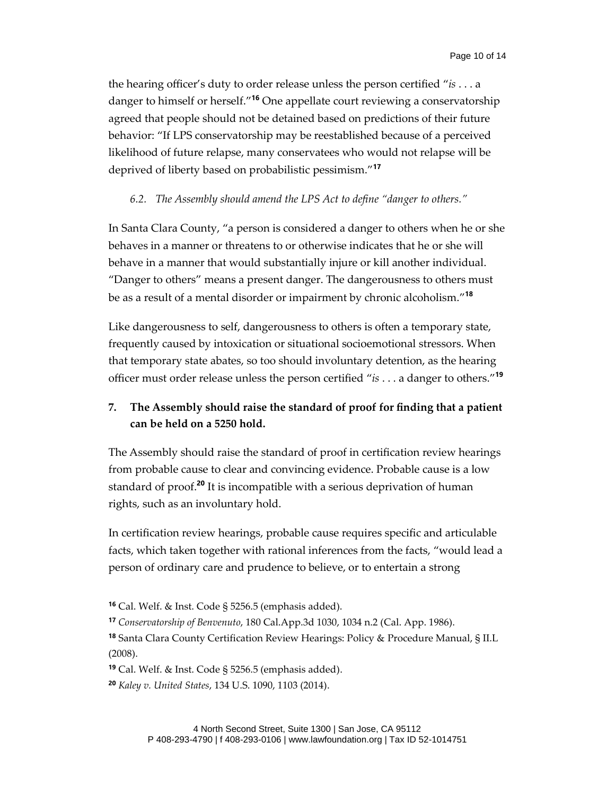the hearing officer's duty to order release unless the person certified "*is* . . . a danger to himself or herself." **<sup>16</sup>** One appellate court reviewing a conservatorship agreed that people should not be detained based on predictions of their future behavior: "If LPS conservatorship may be reestablished because of a perceived likelihood of future relapse, many conservatees who would not relapse will be deprived of liberty based on probabilistic pessimism." **17**

### <span id="page-9-0"></span>*6.2. The Assembly should amend the LPS Act to define "danger to others."*

In Santa Clara County, "a person is considered a danger to others when he or she behaves in a manner or threatens to or otherwise indicates that he or she will behave in a manner that would substantially injure or kill another individual. "Danger to others" means a present danger. The dangerousness to others must be as a result of a mental disorder or impairment by chronic alcoholism." **18**

Like dangerousness to self, dangerousness to others is often a temporary state, frequently caused by intoxication or situational socioemotional stressors. When that temporary state abates, so too should involuntary detention, as the hearing officer must order release unless the person certified "*is* . . . a danger to others." **19**

# <span id="page-9-1"></span>**7. The Assembly should raise the standard of proof for finding that a patient can be held on a 5250 hold.**

The Assembly should raise the standard of proof in certification review hearings from probable cause to clear and convincing evidence. Probable cause is a low standard of proof. **<sup>20</sup>** It is incompatible with a serious deprivation of human rights, such as an involuntary hold.

In certification review hearings, probable cause requires specific and articulable facts, which taken together with rational inferences from the facts, "would lead a person of ordinary care and prudence to believe, or to entertain a strong

**<sup>16</sup>** Cal. Welf. & Inst. Code § 5256.5 (emphasis added).

**<sup>17</sup>** *Conservatorship of Benvenuto*, 180 Cal.App.3d 1030, 1034 n.2 (Cal. App. 1986).

**<sup>18</sup>** Santa Clara County Certification Review Hearings: Policy & Procedure Manual, § II.L (2008).

**<sup>19</sup>** Cal. Welf. & Inst. Code § 5256.5 (emphasis added).

**<sup>20</sup>** *Kaley v. United States*, 134 U.S. 1090, 1103 (2014).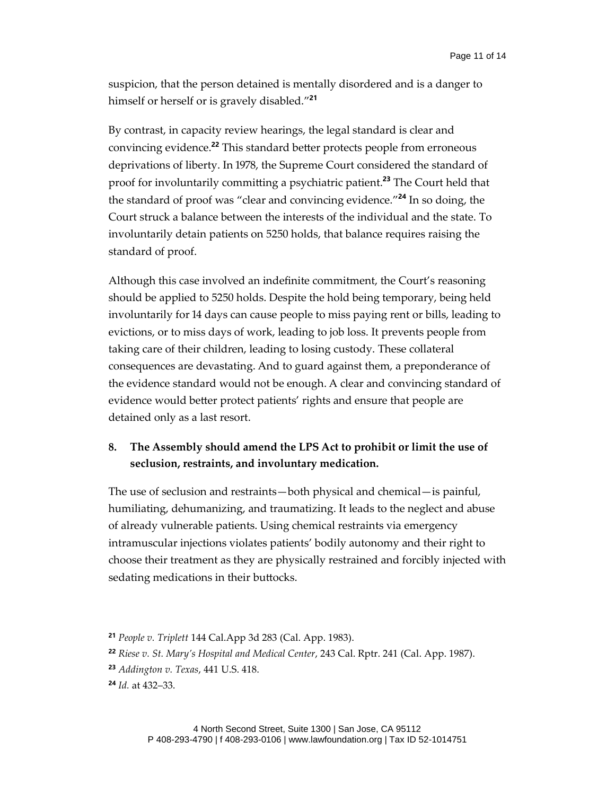suspicion, that the person detained is mentally disordered and is a danger to himself or herself or is gravely disabled." **21**

By contrast, in capacity review hearings, the legal standard is clear and convincing evidence.**<sup>22</sup>** This standard better protects people from erroneous deprivations of liberty. In 1978, the Supreme Court considered the standard of proof for involuntarily committing a psychiatric patient.**<sup>23</sup>** The Court held that the standard of proof was "clear and convincing evidence." **<sup>24</sup>** In so doing, the Court struck a balance between the interests of the individual and the state. To involuntarily detain patients on 5250 holds, that balance requires raising the standard of proof.

Although this case involved an indefinite commitment, the Court's reasoning should be applied to 5250 holds. Despite the hold being temporary, being held involuntarily for 14 days can cause people to miss paying rent or bills, leading to evictions, or to miss days of work, leading to job loss. It prevents people from taking care of their children, leading to losing custody. These collateral consequences are devastating. And to guard against them, a preponderance of the evidence standard would not be enough. A clear and convincing standard of evidence would better protect patients' rights and ensure that people are detained only as a last resort.

## <span id="page-10-0"></span>**8. The Assembly should amend the LPS Act to prohibit or limit the use of seclusion, restraints, and involuntary medication.**

The use of seclusion and restraints—both physical and chemical—is painful, humiliating, dehumanizing, and traumatizing. It leads to the neglect and abuse of already vulnerable patients. Using chemical restraints via emergency intramuscular injections violates patients' bodily autonomy and their right to choose their treatment as they are physically restrained and forcibly injected with sedating medications in their buttocks.

**<sup>21</sup>** *People v. Triplett* 144 Cal.App 3d 283 (Cal. App. 1983).

**<sup>22</sup>** *Riese v. St. Mary's Hospital and Medical Center*, 243 Cal. Rptr. 241 (Cal. App. 1987).

**<sup>23</sup>** *Addington v. Texas*, 441 U.S. 418.

**<sup>24</sup>** *Id.* at 432–33.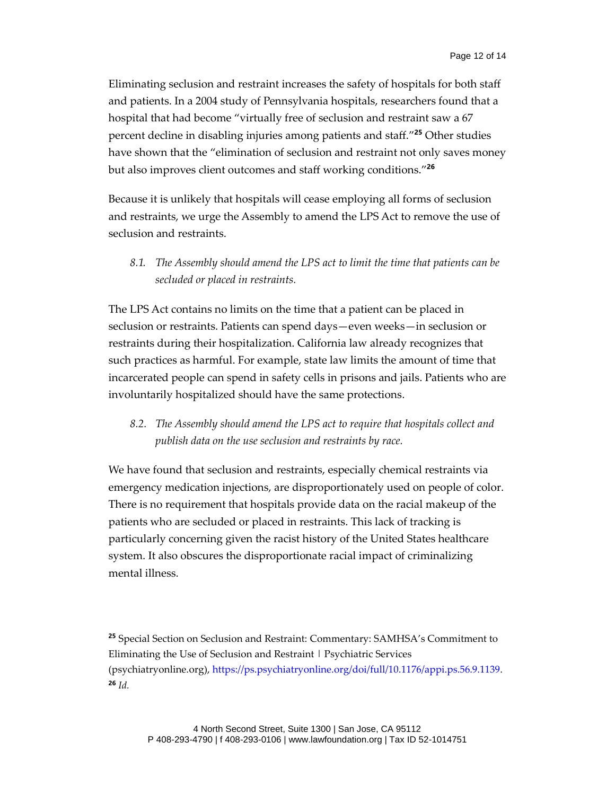Eliminating seclusion and restraint increases the safety of hospitals for both staff and patients. In a 2004 study of Pennsylvania hospitals, researchers found that a hospital that had become "virtually free of seclusion and restraint saw a 67 percent decline in disabling injuries among patients and staff." **<sup>25</sup>** Other studies have shown that the "elimination of seclusion and restraint not only saves money but also improves client outcomes and staff working conditions." **26**

Because it is unlikely that hospitals will cease employing all forms of seclusion and restraints, we urge the Assembly to amend the LPS Act to remove the use of seclusion and restraints.

<span id="page-11-0"></span>*8.1. The Assembly should amend the LPS act to limit the time that patients can be secluded or placed in restraints.*

The LPS Act contains no limits on the time that a patient can be placed in seclusion or restraints. Patients can spend days—even weeks—in seclusion or restraints during their hospitalization. California law already recognizes that such practices as harmful. For example, state law limits the amount of time that incarcerated people can spend in safety cells in prisons and jails. Patients who are involuntarily hospitalized should have the same protections.

<span id="page-11-1"></span>*8.2. The Assembly should amend the LPS act to require that hospitals collect and publish data on the use seclusion and restraints by race.*

We have found that seclusion and restraints, especially chemical restraints via emergency medication injections, are disproportionately used on people of color. There is no requirement that hospitals provide data on the racial makeup of the patients who are secluded or placed in restraints. This lack of tracking is particularly concerning given the racist history of the United States healthcare system. It also obscures the disproportionate racial impact of criminalizing mental illness.

**<sup>25</sup>** Special Section on Seclusion and Restraint: Commentary: SAMHSA's Commitment to Eliminating the Use of Seclusion and Restraint | Psychiatric Services (psychiatryonline.org)[, https://ps.psychiatryonline.org/doi/full/10.1176/appi.ps.56.9.1139.](https://ps.psychiatryonline.org/doi/full/10.1176/appi.ps.56.9.1139) **<sup>26</sup>** *Id.*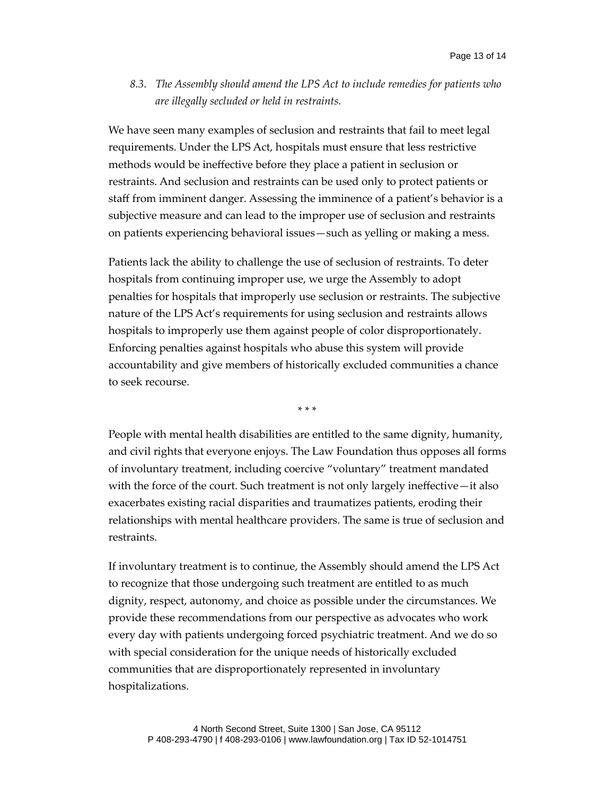<span id="page-12-0"></span>*8.3. The Assembly should amend the LPS Act to include remedies for patients who are illegally secluded or held in restraints.*

We have seen many examples of seclusion and restraints that fail to meet legal requirements. Under the LPS Act, hospitals must ensure that less restrictive methods would be ineffective before they place a patient in seclusion or restraints. And seclusion and restraints can be used only to protect patients or staff from imminent danger. Assessing the imminence of a patient's behavior is a subjective measure and can lead to the improper use of seclusion and restraints on patients experiencing behavioral issues—such as yelling or making a mess.

Patients lack the ability to challenge the use of seclusion of restraints. To deter hospitals from continuing improper use, we urge the Assembly to adopt penalties for hospitals that improperly use seclusion or restraints. The subjective nature of the LPS Act's requirements for using seclusion and restraints allows hospitals to improperly use them against people of color disproportionately. Enforcing penalties against hospitals who abuse this system will provide accountability and give members of historically excluded communities a chance to seek recourse.

\* \* \*

People with mental health disabilities are entitled to the same dignity, humanity, and civil rights that everyone enjoys. The Law Foundation thus opposes all forms of involuntary treatment, including coercive "voluntary" treatment mandated with the force of the court. Such treatment is not only largely ineffective—it also exacerbates existing racial disparities and traumatizes patients, eroding their relationships with mental healthcare providers. The same is true of seclusion and restraints.

If involuntary treatment is to continue, the Assembly should amend the LPS Act to recognize that those undergoing such treatment are entitled to as much dignity, respect, autonomy, and choice as possible under the circumstances. We provide these recommendations from our perspective as advocates who work every day with patients undergoing forced psychiatric treatment. And we do so with special consideration for the unique needs of historically excluded communities that are disproportionately represented in involuntary hospitalizations.